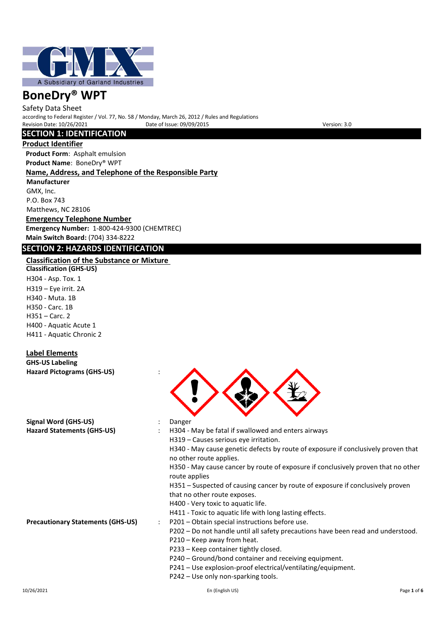

Safety Data Sheet according to Federal Register / Vol. 77, No. 58 / Monday, March 26, 2012 / Rules and Regulations Revision Date: 10/26/2021 Date of Issue: 09/09/2015 Devision: 3.0

### **SECTION 1: IDENTIFICATION**

**Product Identifier**

**Product Form**: Asphalt emulsion **Product Name**: BoneDry® WPT

### **Name, Address, and Telephone of the Responsible Party**

**Manufacturer** GMX, Inc. P.O. Box 743 Matthews, NC 28106

**Emergency Telephone Number Emergency Number:** 1-800-424-9300 (CHEMTREC) **Main Switch Board:** (704) 334-8222

# **SECTION 2: HAZARDS IDENTIFICATION**

# **Classification of the Substance or Mixture**

**Classification (GHS-US)** H304 - Asp. Tox. 1 H319 – Eye irrit. 2A H340 - Muta. 1B H350 - Carc. 1B H351 – Carc. 2 H400 - Aquatic Acute 1 H411 - Aquatic Chronic 2

### **Label Elements**

**GHS-US Labeling Hazard Pictograms (GHS-US)** :

**Signal Word (GHS-US)** : Danger



Hazard Statements (GHS-US) **:** H304 - May be fatal if swallowed and enters airways H319 – Causes serious eye irritation.

H340 - May cause genetic defects by route of exposure if conclusively proven that no other route applies.

- H350 May cause cancer by route of exposure if conclusively proven that no other route applies
- H351 Suspected of causing cancer by route of exposure if conclusively proven that no other route exposes.
- H400 Very toxic to aquatic life.
- H411 Toxic to aquatic life with long lasting effects.
- **Precautionary Statements (GHS-US)** : P201 Obtain special instructions before use.
	- P202 Do not handle until all safety precautions have been read and understood.
	- P210 Keep away from heat.
	- P233 Keep container tightly closed.
	- P240 Ground/bond container and receiving equipment.
	- P241 Use explosion-proof electrical/ventilating/equipment.
	- P242 Use only non-sparking tools.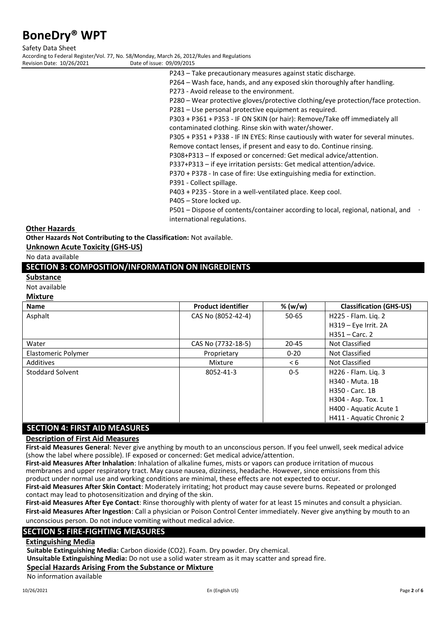Safety Data Sheet According to Federal Register/Vol. 77, No. 58/Monday, March 26, 2012/Rules and Regulations

Revision Date: 10/26/2021 Date

| ate of issue: 09/09/2015 |                                                                                   |
|--------------------------|-----------------------------------------------------------------------------------|
|                          | P243 - Take precautionary measures against static discharge.                      |
|                          | P264 - Wash face, hands, and any exposed skin thoroughly after handling.          |
|                          | P273 - Avoid release to the environment.                                          |
|                          | P280 - Wear protective gloves/protective clothing/eye protection/face protection. |
|                          | P281 – Use personal protective equipment as required.                             |
|                          | P303 + P361 + P353 - IF ON SKIN (or hair): Remove/Take off immediately all        |
|                          | contaminated clothing. Rinse skin with water/shower.                              |
|                          | P305 + P351 + P338 - IF IN EYES: Rinse cautiously with water for several minutes. |
|                          | Remove contact lenses, if present and easy to do. Continue rinsing.               |
|                          | P308+P313 - If exposed or concerned: Get medical advice/attention.                |
|                          | P337+P313 - if eye irritation persists: Get medical attention/advice.             |
|                          | P370 + P378 - In case of fire: Use extinguishing media for extinction.            |
|                          |                                                                                   |

P391 - Collect spillage.

P403 + P235 - Store in a well-ventilated place. Keep cool.

P405 – Store locked up.

P501 – Dispose of contents/container according to local, regional, national, and international regulations.

**Other Hazards** 

**Other Hazards Not Contributing to the Classification:** Not available.

**Unknown Acute Toxicity (GHS-US)**

No data available

### **SECTION 3: COMPOSITION/INFORMATION ON INGREDIENTS**

### **Substance**

Not available

### **Mixture**

| <b>Name</b>                     | <b>Product identifier</b> | % (w/w)  | <b>Classification (GHS-US)</b> |
|---------------------------------|---------------------------|----------|--------------------------------|
| Asphalt                         | CAS No (8052-42-4)        | 50-65    | H225 - Flam. Lig. 2            |
|                                 |                           |          | H319 - Eye Irrit. 2A           |
|                                 |                           |          | $H351 -$ Carc. 2               |
| Water                           | CAS No (7732-18-5)        | 20-45    | Not Classified                 |
| Elastomeric Polymer             | Proprietary               | $0 - 20$ | Not Classified                 |
| Additives                       | Mixture                   | < 6      | Not Classified                 |
| Stoddard Solvent                | 8052-41-3                 | $0 - 5$  | H226 - Flam. Liq. 3            |
|                                 |                           |          | H340 - Muta, 1B                |
|                                 |                           |          | H350 - Carc. 1B                |
|                                 |                           |          | H304 - Asp. Tox. 1             |
|                                 |                           |          | H400 - Aquatic Acute 1         |
|                                 |                           |          | H411 - Aquatic Chronic 2       |
| CECTION 4. EIDCT AID NAEACLIDEC |                           |          |                                |

# **SECTION 4: FIRST AID MEASURES**

# **Description of First Aid Measures**

**First-aid Measures General**: Never give anything by mouth to an unconscious person. If you feel unwell, seek medical advice (show the label where possible). IF exposed or concerned: Get medical advice/attention.

**First-aid Measures After Inhalation**: Inhalation of alkaline fumes, mists or vapors can produce irritation of mucous membranes and upper respiratory tract. May cause nausea, dizziness, headache. However, since emissions from this product under normal use and working conditions are minimal, these effects are not expected to occur.

**First-aid Measures After Skin Contact**: Moderately irritating; hot product may cause severe burns. Repeated or prolonged contact may lead to photosensitization and drying of the skin.

**First-aid Measures After Eye Contact**: Rinse thoroughly with plenty of water for at least 15 minutes and consult a physician. **First-aid Measures After Ingestion**: Call a physician or Poison Control Center immediately. Never give anything by mouth to an

unconscious person. Do not induce vomiting without medical advice.

### **SECTION 5: FIRE-FIGHTING MEASURES**

### **Extinguishing Media**

**Suitable Extinguishing Media:** Carbon dioxide (CO2). Foam. Dry powder. Dry chemical.

**Unsuitable Extinguishing Media:** Do not use a solid water stream as it may scatter and spread fire.

### **Special Hazards Arising From the Substance or Mixture**

No information available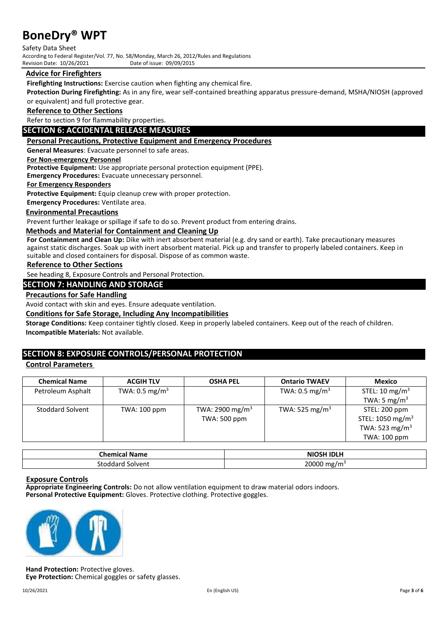Safety Data Sheet According to Federal Register/Vol. 77, No. 58/Monday, March 26, 2012/Rules and Regulations Revision Date: 10/26/2021

### **Advice for Firefighters**

**Firefighting Instructions:** Exercise caution when fighting any chemical fire.

**Protection During Firefighting:** As in any fire, wear self-contained breathing apparatus pressure-demand, MSHA/NIOSH (approved or equivalent) and full protective gear.

### **Reference to Other Sections**

Refer to section 9 for flammability properties.

### **SECTION 6: ACCIDENTAL RELEASE MEASURES**

### **Personal Precautions, Protective Equipment and Emergency Procedures**

**General Measures**: Evacuate personnel to safe areas.

### **For Non-emergency Personnel**

**Protective Equipment:** Use appropriate personal protection equipment (PPE).

**Emergency Procedures:** Evacuate unnecessary personnel.

### **For Emergency Responders**

Protective Equipment: Equip cleanup crew with proper protection.

**Emergency Procedures:** Ventilate area.

### **Environmental Precautions**

Prevent further leakage or spillage if safe to do so. Prevent product from entering drains.

### **Methods and Material for Containment and Cleaning Up**

**For Containment and Clean Up:** Dike with inert absorbent material (e.g. dry sand or earth). Take precautionary measures against static discharges. Soak up with inert absorbent material. Pick up and transfer to properly labeled containers. Keep in suitable and closed containers for disposal. Dispose of as common waste.

### **Reference to Other Sections**

See heading 8, Exposure Controls and Personal Protection.

### **SECTION 7: HANDLING AND STORAGE**

### **Precautions for Safe Handling**

Avoid contact with skin and eyes. Ensure adequate ventilation.

**Conditions for Safe Storage, Including Any Incompatibilities**

**Storage Conditions:** Keep container tightly closed. Keep in properly labeled containers. Keep out of the reach of children. **Incompatible Materials:** Not available.

# **SECTION 8: EXPOSURE CONTROLS/PERSONAL PROTECTION**

### **Control Parameters**

| <b>Chemical Name</b> | <b>ACGIH TLV</b>          | <b>OSHA PEL</b>             | <b>Ontario TWAEV</b>       | Mexico                       |
|----------------------|---------------------------|-----------------------------|----------------------------|------------------------------|
| Petroleum Asphalt    | TWA: $0.5 \text{ mg/m}^3$ |                             | TWA: $0.5 \text{ mg/m}^3$  | STEL: 10 mg/m <sup>3</sup>   |
|                      |                           |                             |                            | TWA: 5 mg/m <sup>3</sup>     |
| Stoddard Solvent     | TWA: 100 ppm              | TWA: 2900 mg/m <sup>3</sup> | TWA: 525 mg/m <sup>3</sup> | STEL: 200 ppm                |
|                      |                           | TWA: 500 ppm                |                            | STEL: 1050 mg/m <sup>3</sup> |
|                      |                           |                             |                            | TWA: 523 mg/m <sup>3</sup>   |
|                      |                           |                             |                            | TWA: 100 ppm                 |

| <b>Chemical Name</b>  | <b>NIOSH IDLH</b><br><b>NK</b> |
|-----------------------|--------------------------------|
| Solvent<br>stoddard ' | 20000 mg/m <sup>3</sup>        |

### **Exposure Controls**

**Appropriate Engineering Controls:** Do not allow ventilation equipment to draw material odors indoors. **Personal Protective Equipment:** Gloves. Protective clothing. Protective goggles.



**Hand Protection:** Protective gloves. **Eye Protection:** Chemical goggles or safety glasses.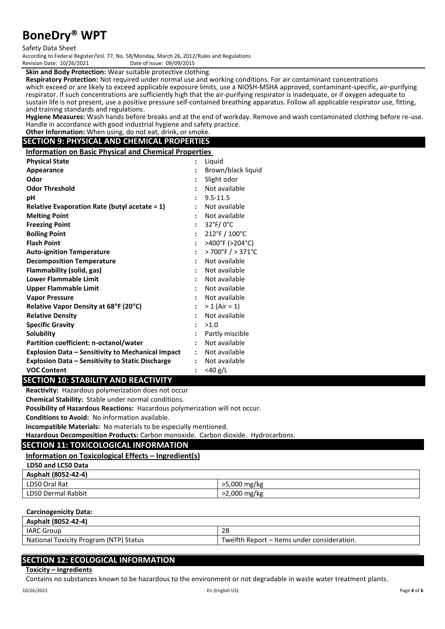### Safety Data Sheet

According to Federal Register/Vol. 77, No. 58/Monday, March 26, 2012/Rules and Regulations Revision Date: 10/26/2021

### **Skin and Body Protection:** Wear suitable protective clothing.

**Respiratory Protection:** Not required under normal use and working conditions. For air contaminant concentrations which exceed or are likely to exceed applicable exposure limits, use a NIOSH-MSHA approved, contaminant-specific, air-purifying respirator. If such concentrations are sufficiently high that the air-purifying respirator is inadequate, or if oxygen adequate to sustain life is not present, use a positive pressure self-contained breathing apparatus. Follow all applicable respirator use, fitting, and training standards and regulations.

**Hygiene Measures:** Wash hands before breaks and at the end of workday. Remove and wash contaminated clothing before re-use. Handle in accordance with good industrial hygiene and safety practice.

### **Other Information:** When using, do not eat, drink, or smoke. **SECTION 9: PHYSICAL AND CHEMICAL PROPERTIES**

**Information on Basic Physical and Chemical Properties**

| <b>Physical State</b>                                   |                      | Liquid                               |
|---------------------------------------------------------|----------------------|--------------------------------------|
| Appearance                                              |                      | Brown/black liquid                   |
| Odor                                                    |                      | Slight odor                          |
| <b>Odor Threshold</b>                                   | $\ddot{\cdot}$       | Not available                        |
| рH                                                      | $\ddot{\phantom{a}}$ | $9.5 - 11.5$                         |
| Relative Evaporation Rate (butyl acetate $= 1$ )        |                      | Not available                        |
| <b>Melting Point</b>                                    |                      | Not available                        |
| <b>Freezing Point</b>                                   |                      | $32^{\circ}$ F/0 $^{\circ}$ C        |
| <b>Boiling Point</b>                                    |                      | $212^{\circ}$ F / $100^{\circ}$ C    |
| <b>Flash Point</b>                                      | $\ddot{\cdot}$       | >400°F (>204°C)                      |
| <b>Auto-ignition Temperature</b>                        | $\ddot{\phantom{a}}$ | $>700^{\circ}$ F $/ > 371^{\circ}$ C |
| <b>Decomposition Temperature</b>                        | $\ddot{\cdot}$       | Not available                        |
| Flammability (solid, gas)                               |                      | Not available                        |
| <b>Lower Flammable Limit</b>                            | $\ddot{\cdot}$       | Not available                        |
| Upper Flammable Limit                                   |                      | Not available                        |
| <b>Vapor Pressure</b>                                   |                      | Not available                        |
| Relative Vapor Density at 68°F (20°C)                   | $\ddot{\phantom{a}}$ | $> 1$ (Air = 1)                      |
| <b>Relative Density</b>                                 |                      | Not available                        |
| <b>Specific Gravity</b>                                 |                      | >1.0                                 |
| <b>Solubility</b>                                       |                      | Partly miscible                      |
| Partition coefficient: n-octanol/water                  |                      | Not available                        |
| Explosion Data – Sensitivity to Mechanical Impact       | $\mathbf{L}$         | Not available                        |
| <b>Explosion Data - Sensitivity to Static Discharge</b> | $\ddot{\phantom{a}}$ | Not available                        |
| <b>VOC Content</b>                                      | $\ddot{\cdot}$       | $<$ 40 g/L                           |

### **SECTION 10: STABILITY AND REACTIVITY**

**Reactivity:** Hazardous polymerization does not occur

**Chemical Stability:** Stable under normal conditions.

**Possibility of Hazardous Reactions:** Hazardous polymerization will not occur.

**Conditions to Avoid:** No information available.

**Incompatible Materials:** No materials to be especially mentioned.

**Hazardous Decomposition Products:** Carbon monoxide. Carbon dioxide. Hydrocarbons.

### **SECTION 11: TOXICOLOGICAL INFORMATION**

#### **Information on Toxicological Effects – Ingredient(s) LD50 and LC50 Data**

| ---- ---- ---- ---- |              |
|---------------------|--------------|
| Asphalt (8052-42-4) |              |
| LD50 Oral Rat       | >5,000 mg/kg |
| LD50 Dermal Rabbit  | >2,000 mg/kg |

### **Carcinogenicity Data:**

| Asphalt (8052-42-4)                    |                                             |
|----------------------------------------|---------------------------------------------|
| <b>IARC Group</b>                      | 2B                                          |
| National Toxicity Program (NTP) Status | Twelfth Report – Items under consideration. |

### **SECTION 12: ECOLOGICAL INFORMATION**

### **Toxicity – Ingredients**

Contains no substances known to be hazardous to the environment or not degradable in waste water treatment plants.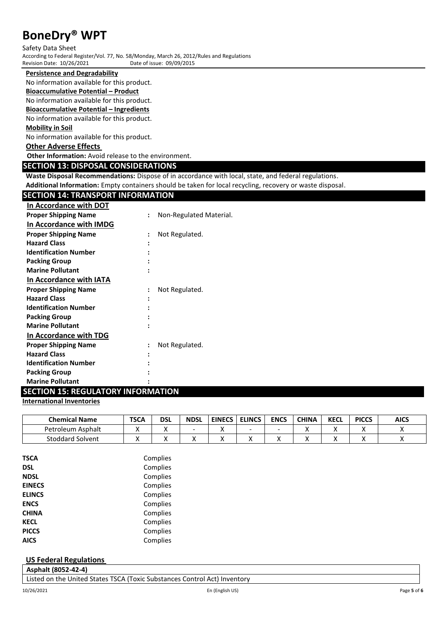Safety Data Sheet According to Federal Register/Vol. 77, No. 58/Monday, March 26, 2012/Rules and Regulations Revision Date: 10/26/2021

### **Persistence and Degradability**

No information available for this product.

### **Bioaccumulative Potential – Product**

No information available for this product.

### **Bioaccumulative Potential – Ingredients**

No information available for this product.

### **Mobility in Soil**

No information available for this product.

### **Other Adverse Effects**

**Other Information:** Avoid release to the environment.

### **SECTION 13: DISPOSAL CONSIDERATIONS**

**Waste Disposal Recommendations:** Dispose of in accordance with local, state, and federal regulations.

**Additional Information:** Empty containers should be taken for local recycling, recovery or waste disposal.

| <b>SECTION 14: TRANSPORT INFORMATION</b>  |                      |                         |
|-------------------------------------------|----------------------|-------------------------|
| In Accordance with DOT                    |                      |                         |
| <b>Proper Shipping Name</b>               | $\ddot{\cdot}$       | Non-Regulated Material. |
| In Accordance with IMDG                   |                      |                         |
| <b>Proper Shipping Name</b>               | $\ddot{\phantom{a}}$ | Not Regulated.          |
| <b>Hazard Class</b>                       |                      |                         |
| <b>Identification Number</b>              |                      |                         |
| <b>Packing Group</b>                      |                      |                         |
| <b>Marine Pollutant</b>                   |                      |                         |
| In Accordance with IATA                   |                      |                         |
| <b>Proper Shipping Name</b>               |                      | Not Regulated.          |
| <b>Hazard Class</b>                       |                      |                         |
| <b>Identification Number</b>              |                      |                         |
| <b>Packing Group</b>                      |                      |                         |
| <b>Marine Pollutant</b>                   |                      |                         |
| In Accordance with TDG                    |                      |                         |
| <b>Proper Shipping Name</b>               |                      | Not Regulated.          |
| <b>Hazard Class</b>                       |                      |                         |
| <b>Identification Number</b>              |                      |                         |
| <b>Packing Group</b>                      |                      |                         |
| <b>Marine Pollutant</b>                   |                      |                         |
| <b>SECTION 15: REGULATORY INFORMATION</b> |                      |                         |

### **International Inventories**

| <b>Chemical Name</b>    | <b>TSCA</b> | dsl | <b>NDSL</b> | <b>EINECS</b> | <b>ELINCS</b> | <b>ENCS</b> | <b>CHINA</b> | <b>KECL</b> | <b>PICCS</b> | <b>AICS</b> |
|-------------------------|-------------|-----|-------------|---------------|---------------|-------------|--------------|-------------|--------------|-------------|
| Petroleum Asphalt       |             | ,,  |             |               | -             | ۰           |              |             |              |             |
| <b>Stoddard Solvent</b> | . .         | 73  |             |               | 73            |             |              |             | ↗            |             |

| <b>TSCA</b>   | Complies |
|---------------|----------|
| DSL           | Complies |
| <b>NDSL</b>   | Complies |
| <b>EINECS</b> | Complies |
| <b>ELINCS</b> | Complies |
| <b>ENCS</b>   | Complies |
| <b>CHINA</b>  | Complies |
| <b>KECL</b>   | Complies |
| <b>PICCS</b>  | Complies |
| AICS          | Complies |

### **US Federal Regulations**

**Asphalt (8052-42-4)** Listed on the United States TSCA (Toxic Substances Control Act) Inventory